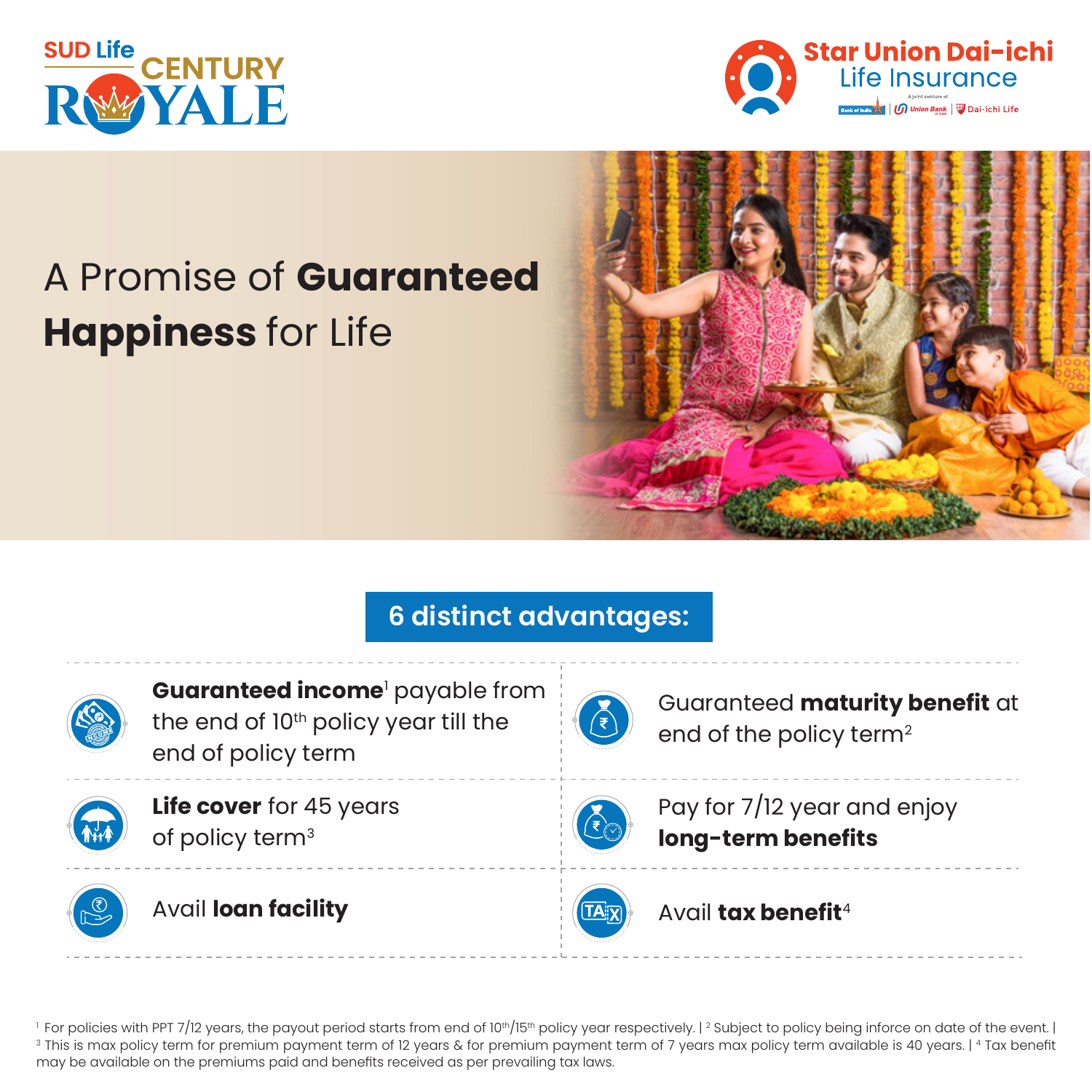



# A Promise of **Guaranteed Happiness** for Life



# **6 distinct advantages:**



**Guaranteed income**' payable from the end of 10<sup>th</sup> policy year till the end of policy term



**Life cover** for 45 years of policy term<sup>3</sup>





Guaranteed **maturity benefit** at end of the policy term<sup>2</sup>



Pay for 7/12 year and enjoy **long-term benefits** 



Avail **tax benefit**<sup>4</sup>

<sup>1</sup> For policies with PPT 7/12 years, the payout period starts from end of 10<sup>th</sup>/15<sup>th</sup> policy year respectively. [<sup>2</sup> Subject to policy being inforce on date of the event. [<br><sup>3</sup> This is max policy term for premium paymen may be available on the premiums paid and benefits received as per prevailing tax laws.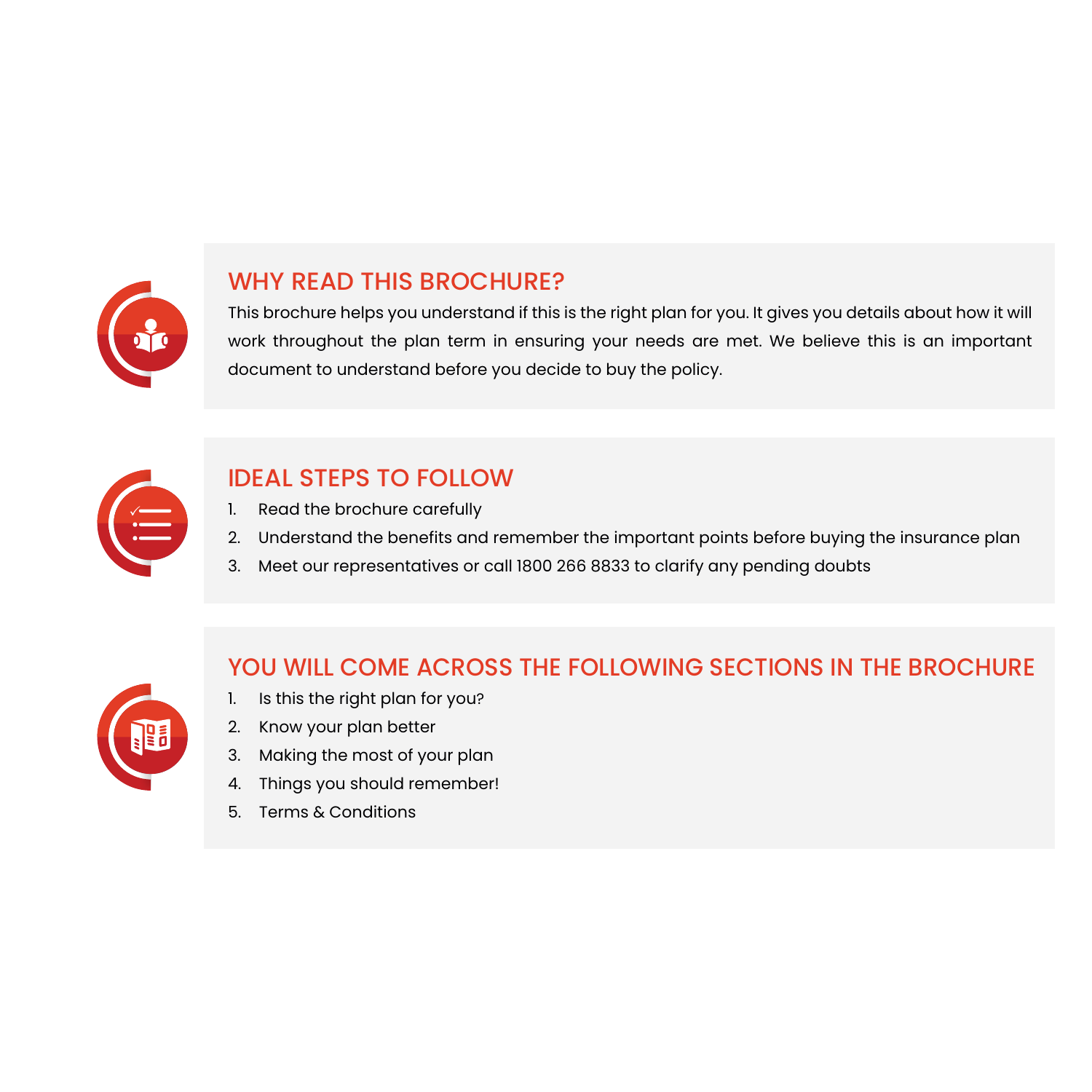

### WHY READ THIS BROCHURE?

This brochure helps you understand if this is the right plan for you. It gives you details about how it will work throughout the plan term in ensuring your needs are met. We believe this is an important document to understand before you decide to buy the policy.



# IDEAL STEPS TO FOLLOW

- 1. Read the brochure carefully
- 2. Understand the benefits and remember the important points before buying the insurance plan
- 3. Meet our representatives or call 1800 266 8833 to clarify any pending doubts



### YOU WILL COME ACROSS THE FOLLOWING SECTIONS IN THE BROCHURE

- 1. Is this the right plan for you?
- 2. Know your plan better
- 3. Making the most of your plan
- 4. Things you should remember!
- 5. Terms & Conditions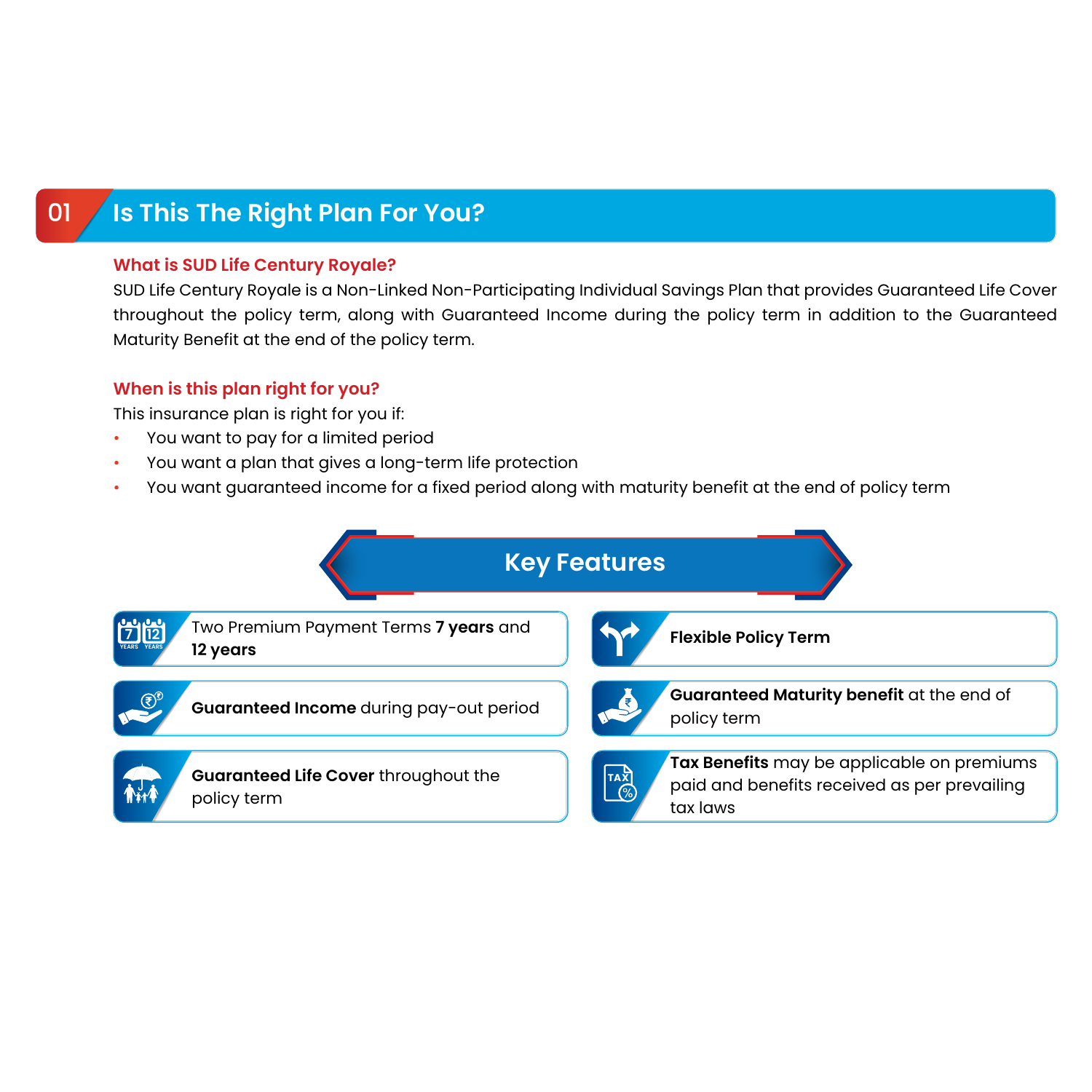# 01 **Is This The Right Plan For You?**

#### **What is SUD Life Century Royale?**

SUD Life Century Royale is a Non-Linked Non-Participating Individual Savings Plan that provides Guaranteed Life Cover throughout the policy term, along with Guaranteed Income during the policy term in addition to the Guaranteed Maturity Benefit at the end of the policy term.

#### **When is this plan right for you?**

This insurance plan is right for you if:

- You want to pay for a limited period
- You want a plan that gives a long-term life protection
- You want guaranteed income for a fixed period along with maturity benefit at the end of policy term

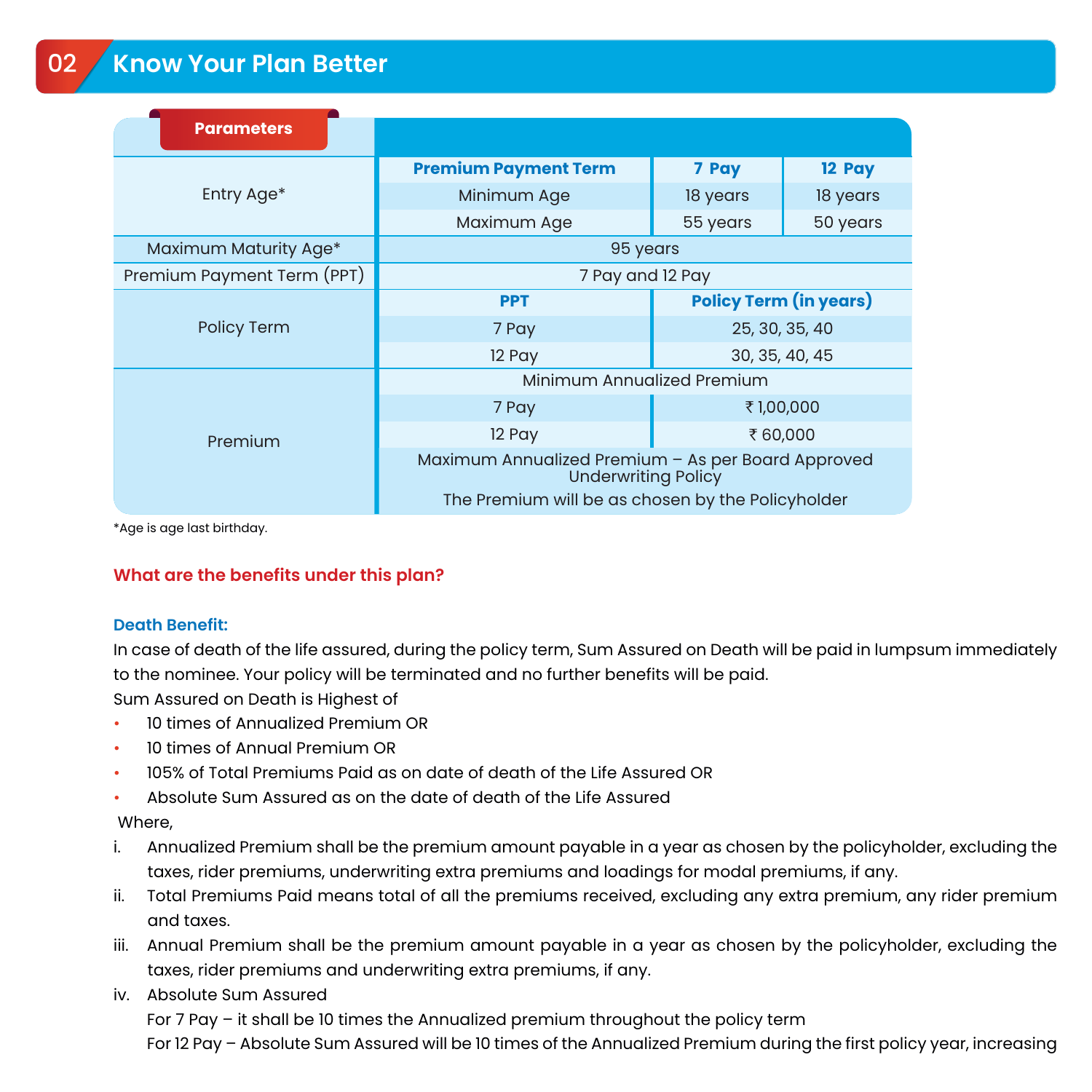| <b>Parameters</b>          |                                                                                  |                               |          |  |  |  |
|----------------------------|----------------------------------------------------------------------------------|-------------------------------|----------|--|--|--|
| Entry Age*                 | <b>Premium Payment Term</b>                                                      | 7 Pay                         | 12 Pay   |  |  |  |
|                            | Minimum Age                                                                      | 18 years                      | 18 years |  |  |  |
|                            | Maximum Age                                                                      | 55 years                      | 50 years |  |  |  |
| Maximum Maturity Age*      | 95 years                                                                         |                               |          |  |  |  |
| Premium Payment Term (PPT) | 7 Pay and 12 Pay                                                                 |                               |          |  |  |  |
| Policy Term                | <b>PPT</b>                                                                       | <b>Policy Term (in years)</b> |          |  |  |  |
|                            | 7 Pay                                                                            | 25, 30, 35, 40                |          |  |  |  |
|                            | 12 Pay                                                                           | 30, 35, 40, 45                |          |  |  |  |
| Premium                    | Minimum Annualized Premium                                                       |                               |          |  |  |  |
|                            | 7 Pay                                                                            | ₹1,00,000                     |          |  |  |  |
|                            | 12 Pay                                                                           | ₹60,000                       |          |  |  |  |
|                            | Maximum Annualized Premium - As per Board Approved<br><b>Underwriting Policy</b> |                               |          |  |  |  |
|                            | The Premium will be as chosen by the Policyholder                                |                               |          |  |  |  |

\*Age is age last birthday.

#### **What are the benefits under this plan?**

#### **Death Benefit:**

In case of death of the life assured, during the policy term, Sum Assured on Death will be paid in lumpsum immediately to the nominee. Your policy will be terminated and no further benefits will be paid.

Sum Assured on Death is Highest of

- 10 times of Annualized Premium OR
- 10 times of Annual Premium OR
- 105% of Total Premiums Paid as on date of death of the Life Assured OR
- Absolute Sum Assured as on the date of death of the Life Assured

#### Where,

- i. Annualized Premium shall be the premium amount payable in a year as chosen by the policyholder, excluding the taxes, rider premiums, underwriting extra premiums and loadings for modal premiums, if any.
- ii. Total Premiums Paid means total of all the premiums received, excluding any extra premium, any rider premium and taxes.
- iii. Annual Premium shall be the premium amount payable in a year as chosen by the policyholder, excluding the taxes, rider premiums and underwriting extra premiums, if any.
- iv. Absolute Sum Assured

For 7 Pay – it shall be 10 times the Annualized premium throughout the policy term

For 12 Pay – Absolute Sum Assured will be 10 times of the Annualized Premium during the first policy year, increasing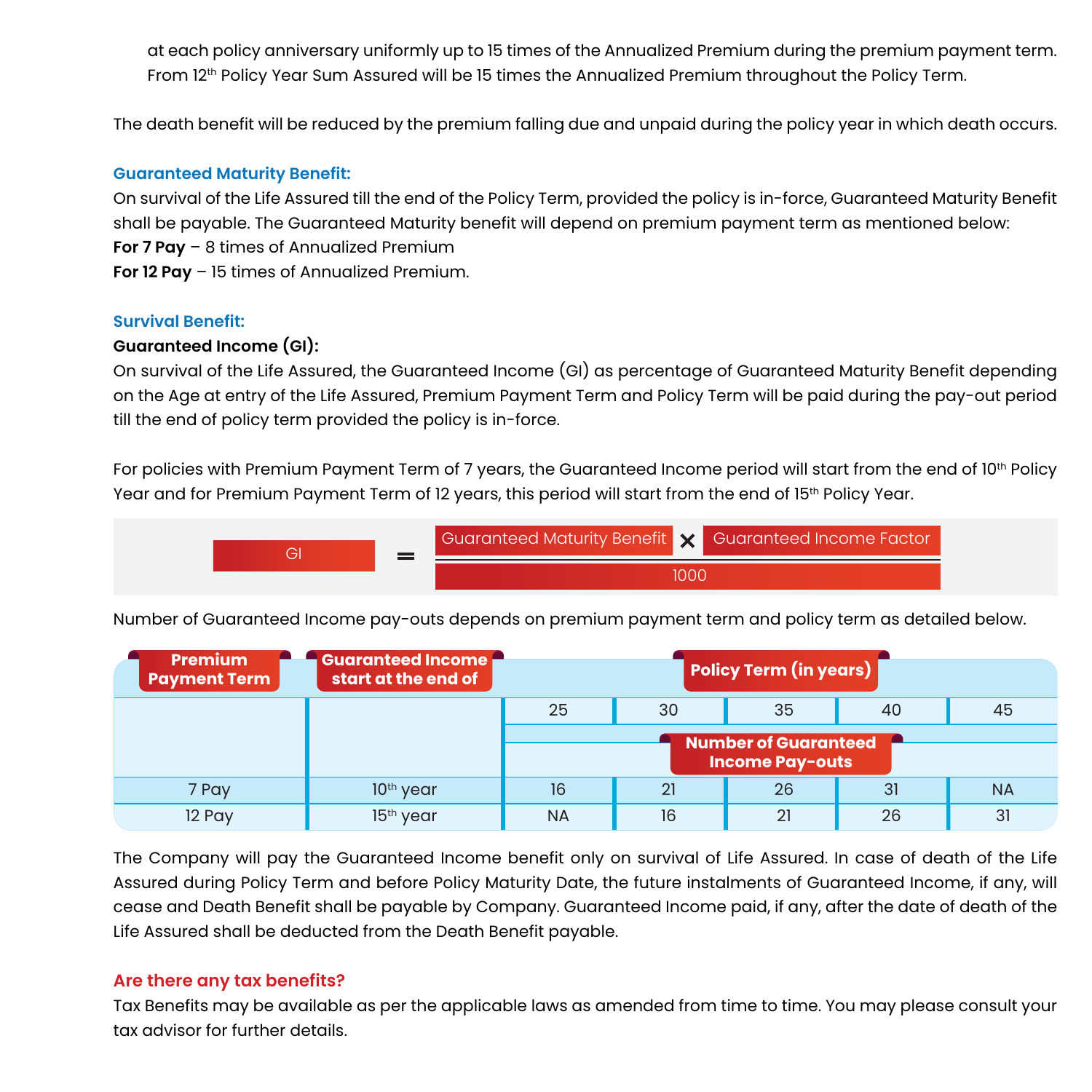at each policy anniversary uniformly up to 15 times of the Annualized Premium during the premium payment term. From 12<sup>th</sup> Policy Year Sum Assured will be 15 times the Annualized Premium throughout the Policy Term.

The death benefit will be reduced by the premium falling due and unpaid during the policy year in which death occurs.

#### **Guaranteed Maturity Benefit:**

On survival of the Life Assured till the end of the Policy Term, provided the policy is in-force, Guaranteed Maturity Benefit shall be payable. The Guaranteed Maturity benefit will depend on premium payment term as mentioned below: **For 7 Pay** – 8 times of Annualized Premium **For 12 Pay** – 15 times of Annualized Premium.

#### **Survival Benefit:**

#### **Guaranteed Income (GI):**

On survival of the Life Assured, the Guaranteed Income (GI) as percentage of Guaranteed Maturity Benefit depending on the Age at entry of the Life Assured, Premium Payment Term and Policy Term will be paid during the pay-out period till the end of policy term provided the policy is in-force.

For policies with Premium Payment Term of 7 years, the Guaranteed Income period will start from the end of  $10^{th}$  Policy Year and for Premium Payment Term of 12 years, this period will start from the end of 15<sup>th</sup> Policy Year.



Number of Guaranteed Income pay-outs depends on premium payment term and policy term as detailed below.

| <b>Premium</b><br><b>Payment Term</b> | Guaranteed Income<br>start at the end of | Policy Term (in years)      |    |    |    |           |
|---------------------------------------|------------------------------------------|-----------------------------|----|----|----|-----------|
|                                       |                                          | 25                          | 30 | 35 | 40 | 45        |
|                                       |                                          | <b>Number of Guaranteed</b> |    |    |    |           |
|                                       |                                          | <b>Income Pay-outs</b>      |    |    |    |           |
| 7 Pay                                 | $10th$ year                              | 16                          | 21 | 26 | 31 | <b>NA</b> |
| 12 Pay                                | 15 <sup>th</sup> year                    | <b>NA</b>                   | 16 | 21 | 26 | 31        |

The Company will pay the Guaranteed Income benefit only on survival of Life Assured. In case of death of the Life Assured during Policy Term and before Policy Maturity Date, the future instalments of Guaranteed Income, if any, will cease and Death Benefit shall be payable by Company. Guaranteed Income paid, if any, after the date of death of the Life Assured shall be deducted from the Death Benefit payable.

#### **Are there any tax benefits?**

Tax Benefits may be available as per the applicable laws as amended from time to time. You may please consult your tax advisor for further details.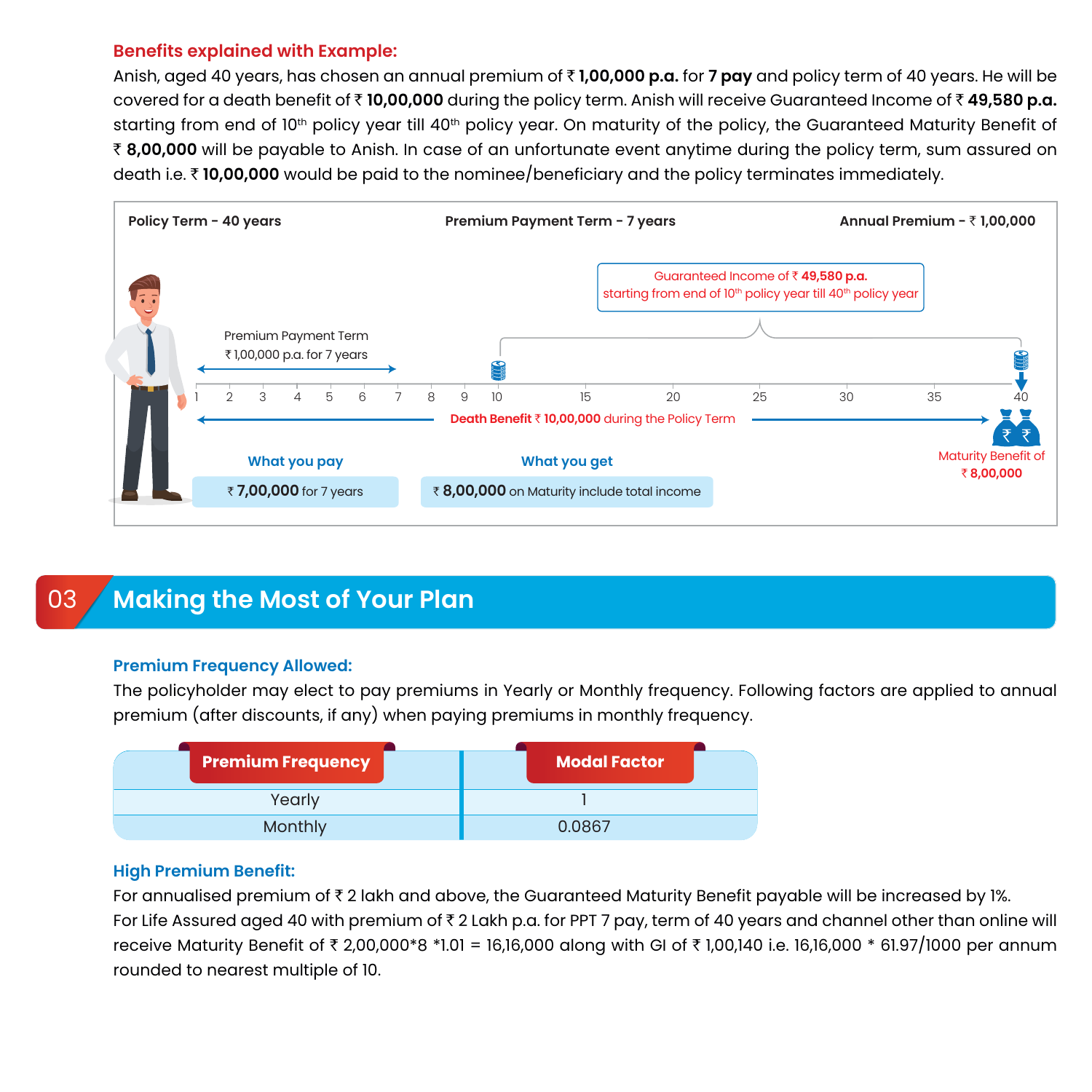#### **Benefits explained with Example:**

Anish, aged 40 years, has chosen an annual premium of ` **1,00,000 p.a.** for **7 pay** and policy term of 40 years. He will be covered for a death benefit of ₹ 10,00,000 during the policy term. Anish will receive Guaranteed Income of ₹ 49,580 p.a. starting from end of 10<sup>th</sup> policy year till 40<sup>th</sup> policy year. On maturity of the policy, the Guaranteed Maturity Benefit of ` **8,00,000** will be payable to Anish. In case of an unfortunate event anytime during the policy term, sum assured on death i.e. ` **10,00,000** would be paid to the nominee/beneficiary and the policy terminates immediately.



# **Making the Most of Your Plan**

#### **Premium Frequency Allowed:**

The policyholder may elect to pay premiums in Yearly or Monthly frequency. Following factors are applied to annual premium (after discounts, if any) when paying premiums in monthly frequency.



#### **High Premium Benefit:**

For annualised premium of  $\bar{\tau}$  2 lakh and above, the Guaranteed Maturity Benefit payable will be increased by 1%. For Life Assured aged 40 with premium of  $\bar{z}$  2 Lakh p.a. for PPT 7 pay, term of 40 years and channel other than online will receive Maturity Benefit of ₹ 2,00,000\*8 \*1.01 = 16,16,000 along with GI of ₹ 1,00,140 i.e. 16,16,000 \* 61.97/1000 per annum rounded to nearest multiple of 10.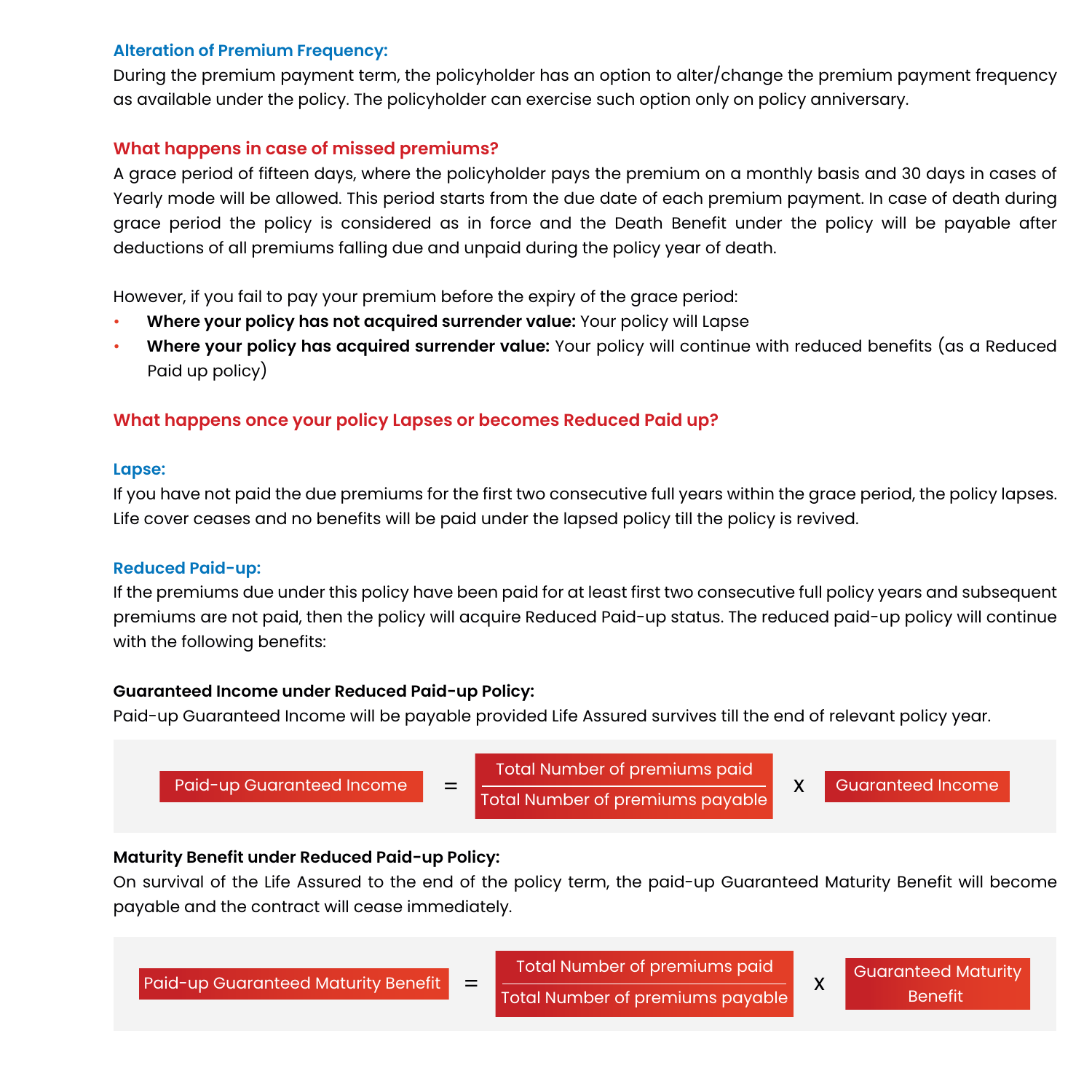#### **Alteration of Premium Frequency:**

During the premium payment term, the policyholder has an option to alter/change the premium payment frequency as available under the policy. The policyholder can exercise such option only on policy anniversary.

#### **What happens in case of missed premiums?**

A grace period of fifteen days, where the policyholder pays the premium on a monthly basis and 30 days in cases of Yearly mode will be allowed. This period starts from the due date of each premium payment. In case of death during grace period the policy is considered as in force and the Death Benefit under the policy will be payable after deductions of all premiums falling due and unpaid during the policy year of death.

However, if you fail to pay your premium before the expiry of the grace period:

- **Where your policy has not acquired surrender value:** Your policy will Lapse
- **Where your policy has acquired surrender value:** Your policy will continue with reduced benefits (as a Reduced Paid up policy)

#### **What happens once your policy Lapses or becomes Reduced Paid up?**

#### **Lapse:**

If you have not paid the due premiums for the first two consecutive full years within the grace period, the policy lapses. Life cover ceases and no benefits will be paid under the lapsed policy till the policy is revived.

#### **Reduced Paid-up:**

If the premiums due under this policy have been paid for at least first two consecutive full policy years and subsequent premiums are not paid, then the policy will acquire Reduced Paid-up status. The reduced paid-up policy will continue with the following benefits:

#### **Guaranteed Income under Reduced Paid-up Policy:**

Paid-up Guaranteed Income will be payable provided Life Assured survives till the end of relevant policy year.



#### **Maturity Benefit under Reduced Paid-up Policy:**

On survival of the Life Assured to the end of the policy term, the paid-up Guaranteed Maturity Benefit will become payable and the contract will cease immediately.

| <b>Paid-up Guaranteed Maturity Benefit</b> | $\equiv$ | Total Number of premiums paid<br>Total Number of premiums pavable | <b>Guaranteed Maturity</b><br><b>Benefit</b> |  |
|--------------------------------------------|----------|-------------------------------------------------------------------|----------------------------------------------|--|
|                                            |          |                                                                   |                                              |  |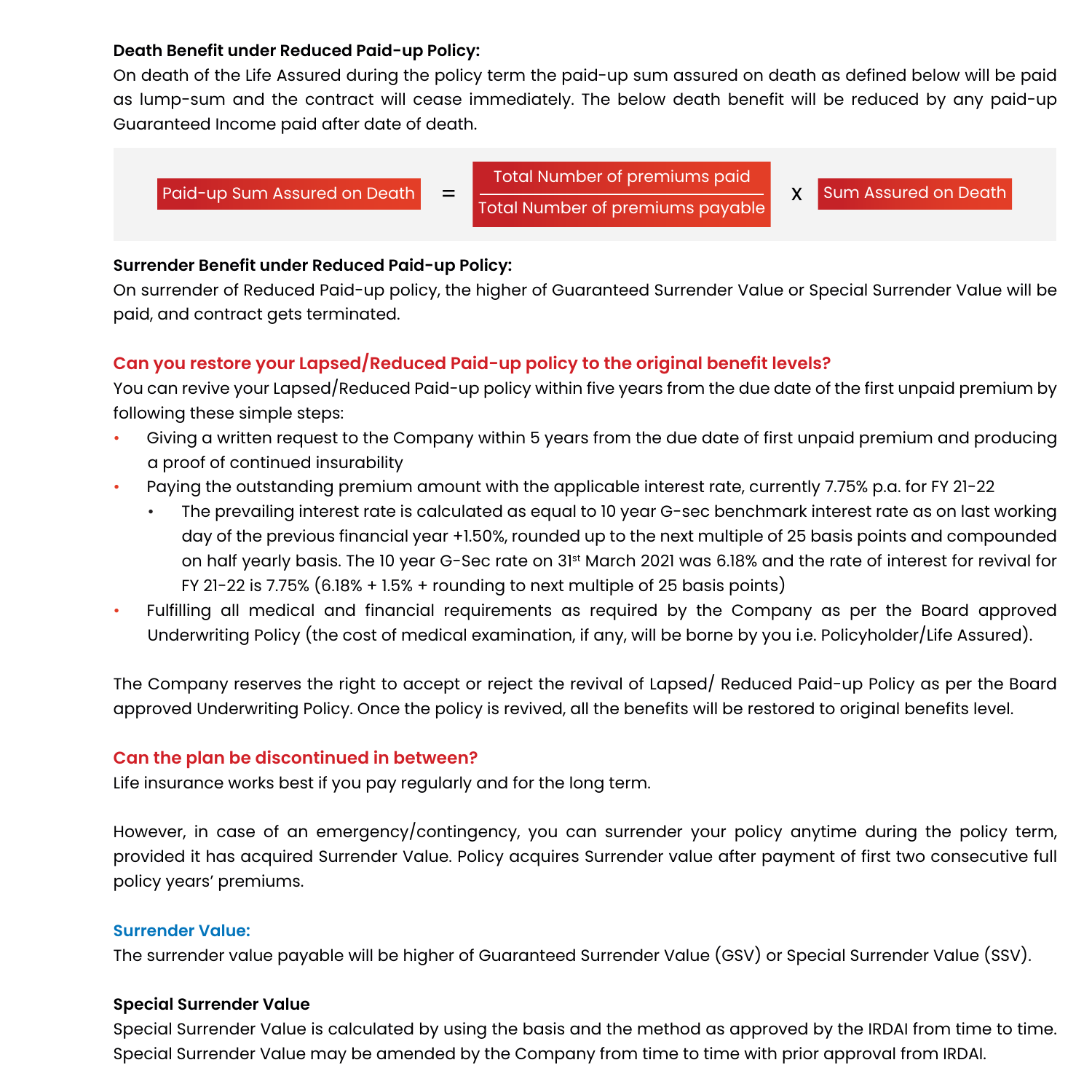#### **Death Benefit under Reduced Paid-up Policy:**

On death of the Life Assured during the policy term the paid-up sum assured on death as defined below will be paid as lump-sum and the contract will cease immediately. The below death benefit will be reduced by any paid-up Guaranteed Income paid after date of death.

Paid-up Sum Assured on Death  $=$   $\frac{1}{2}$   $\frac{1}{2}$   $\frac{1}{2}$   $\frac{1}{2}$   $\frac{1}{2}$   $\frac{1}{2}$   $\frac{1}{2}$   $\frac{1}{2}$   $\frac{1}{2}$   $\frac{1}{2}$   $\frac{1}{2}$   $\frac{1}{2}$   $\frac{1}{2}$   $\frac{1}{2}$   $\frac{1}{2}$   $\frac{1}{2}$   $\frac{1}{2}$   $\frac{1}{2}$   $\frac{1}{2}$ Total Number of premiums paid Total Number of premiums payable

Sum Assured on Death

#### **Surrender Benefit under Reduced Paid-up Policy:**

On surrender of Reduced Paid-up policy, the higher of Guaranteed Surrender Value or Special Surrender Value will be paid, and contract gets terminated.

#### **Can you restore your Lapsed/Reduced Paid-up policy to the original benefit levels?**

You can revive your Lapsed/Reduced Paid-up policy within five years from the due date of the first unpaid premium by following these simple steps:

- Giving a written request to the Company within 5 years from the due date of first unpaid premium and producing a proof of continued insurability
- Paying the outstanding premium amount with the applicable interest rate, currently 7.75% p.a. for FY 21-22
	- The prevailing interest rate is calculated as equal to 10 year G-sec benchmark interest rate as on last working day of the previous financial year +1.50%, rounded up to the next multiple of 25 basis points and compounded on half yearly basis. The 10 year G-Sec rate on 31st March 2021 was 6.18% and the rate of interest for revival for FY 21-22 is 7.75% (6.18% + 1.5% + rounding to next multiple of 25 basis points)
- Fulfilling all medical and financial requirements as required by the Company as per the Board approved Underwriting Policy (the cost of medical examination, if any, will be borne by you i.e. Policyholder/Life Assured).

The Company reserves the right to accept or reject the revival of Lapsed/ Reduced Paid-up Policy as per the Board approved Underwriting Policy. Once the policy is revived, all the benefits will be restored to original benefits level.

#### **Can the plan be discontinued in between?**

Life insurance works best if you pay regularly and for the long term.

However, in case of an emergency/contingency, you can surrender your policy anytime during the policy term, provided it has acquired Surrender Value. Policy acquires Surrender value after payment of first two consecutive full policy years' premiums.

#### **Surrender Value:**

The surrender value payable will be higher of Guaranteed Surrender Value (GSV) or Special Surrender Value (SSV).

#### **Special Surrender Value**

Special Surrender Value is calculated by using the basis and the method as approved by the IRDAI from time to time. Special Surrender Value may be amended by the Company from time to time with prior approval from IRDAI.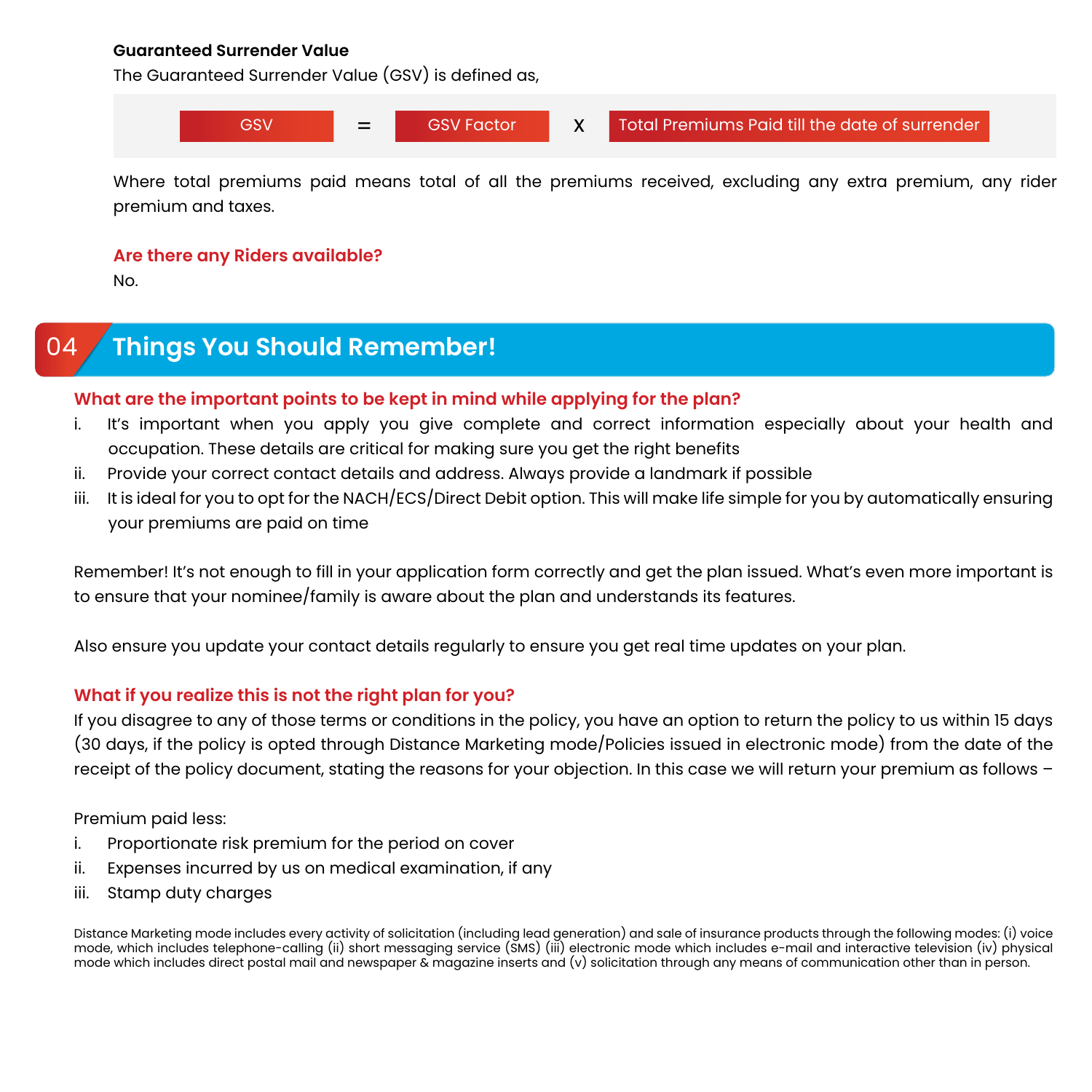#### **Guaranteed Surrender Value**

The Guaranteed Surrender Value (GSV) is defined as,



Where total premiums paid means total of all the premiums received, excluding any extra premium, any rider premium and taxes.

#### **Are there any Riders available?**

No.

# 04 **Things You Should Remember!**

#### **What are the important points to be kept in mind while applying for the plan?**

- i. It's important when you apply you give complete and correct information especially about your health and occupation. These details are critical for making sure you get the right benefits
- ii. Provide your correct contact details and address. Always provide a landmark if possible
- iii. It is ideal for you to opt for the NACH/ECS/Direct Debit option. This will make life simple for you by automatically ensuring your premiums are paid on time

Remember! It's not enough to fill in your application form correctly and get the plan issued. What's even more important is to ensure that your nominee/family is aware about the plan and understands its features.

Also ensure you update your contact details regularly to ensure you get real time updates on your plan.

#### **What if you realize this is not the right plan for you?**

If you disagree to any of those terms or conditions in the policy, you have an option to return the policy to us within 15 days (30 days, if the policy is opted through Distance Marketing mode/Policies issued in electronic mode) from the date of the receipt of the policy document, stating the reasons for your objection. In this case we will return your premium as follows –

Premium paid less:

- i. Proportionate risk premium for the period on cover
- ii. Expenses incurred by us on medical examination, if any
- iii. Stamp duty charges

Distance Marketing mode includes every activity of solicitation (including lead generation) and sale of insurance products through the following modes: (i) voice mode, which includes telephone-calling (ii) short messaging service (SMS) (iii) electronic mode which includes e-mail and interactive television (iv) physical mode which includes direct postal mail and newspaper & magazine inserts and (v) solicitation through any means of communication other than in person.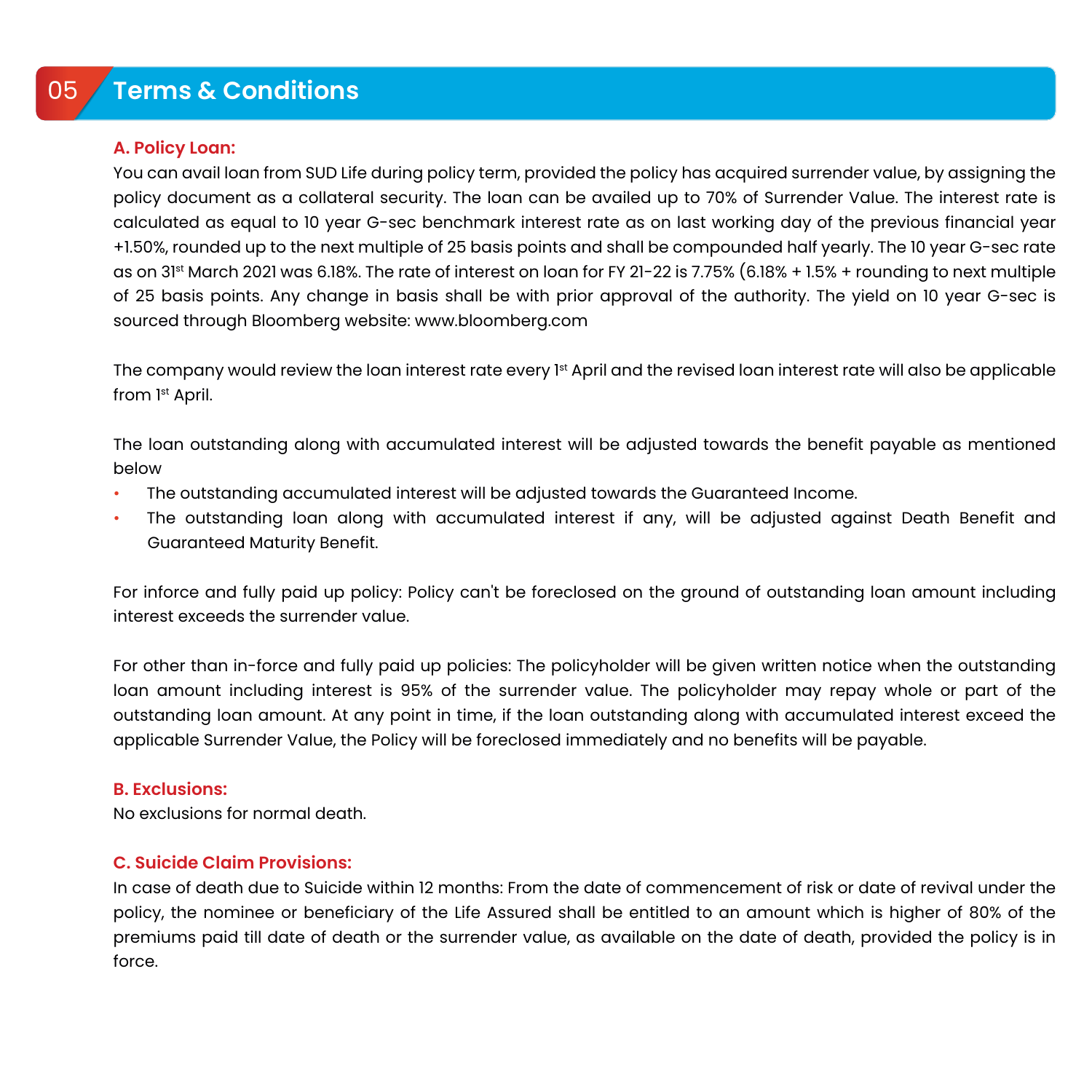## 05 **Terms & Conditions**

#### **A. Policy Loan:**

You can avail loan from SUD Life during policy term, provided the policy has acquired surrender value, by assigning the policy document as a collateral security. The loan can be availed up to 70% of Surrender Value. The interest rate is calculated as equal to 10 year G-sec benchmark interest rate as on last working day of the previous financial year +1.50%, rounded up to the next multiple of 25 basis points and shall be compounded half yearly. The 10 year G-sec rate as on 31st March 2021 was 6.18%. The rate of interest on loan for FY 21-22 is 7.75% (6.18% + 1.5% + rounding to next multiple of 25 basis points. Any change in basis shall be with prior approval of the authority. The yield on 10 year G-sec is sourced through Bloomberg website: www.bloomberg.com

The company would review the loan interest rate every 1st April and the revised loan interest rate will also be applicable from 1st April.

The loan outstanding along with accumulated interest will be adjusted towards the benefit payable as mentioned below

- The outstanding accumulated interest will be adjusted towards the Guaranteed Income.
- The outstanding loan along with accumulated interest if any, will be adjusted against Death Benefit and Guaranteed Maturity Benefit.

For inforce and fully paid up policy: Policy can't be foreclosed on the ground of outstanding loan amount including interest exceeds the surrender value.

For other than in-force and fully paid up policies: The policyholder will be given written notice when the outstanding loan amount including interest is 95% of the surrender value. The policyholder may repay whole or part of the outstanding loan amount. At any point in time, if the loan outstanding along with accumulated interest exceed the applicable Surrender Value, the Policy will be foreclosed immediately and no benefits will be payable.

#### **B. Exclusions:**

No exclusions for normal death.

#### **C. Suicide Claim Provisions:**

In case of death due to Suicide within 12 months: From the date of commencement of risk or date of revival under the policy, the nominee or beneficiary of the Life Assured shall be entitled to an amount which is higher of 80% of the premiums paid till date of death or the surrender value, as available on the date of death, provided the policy is in force.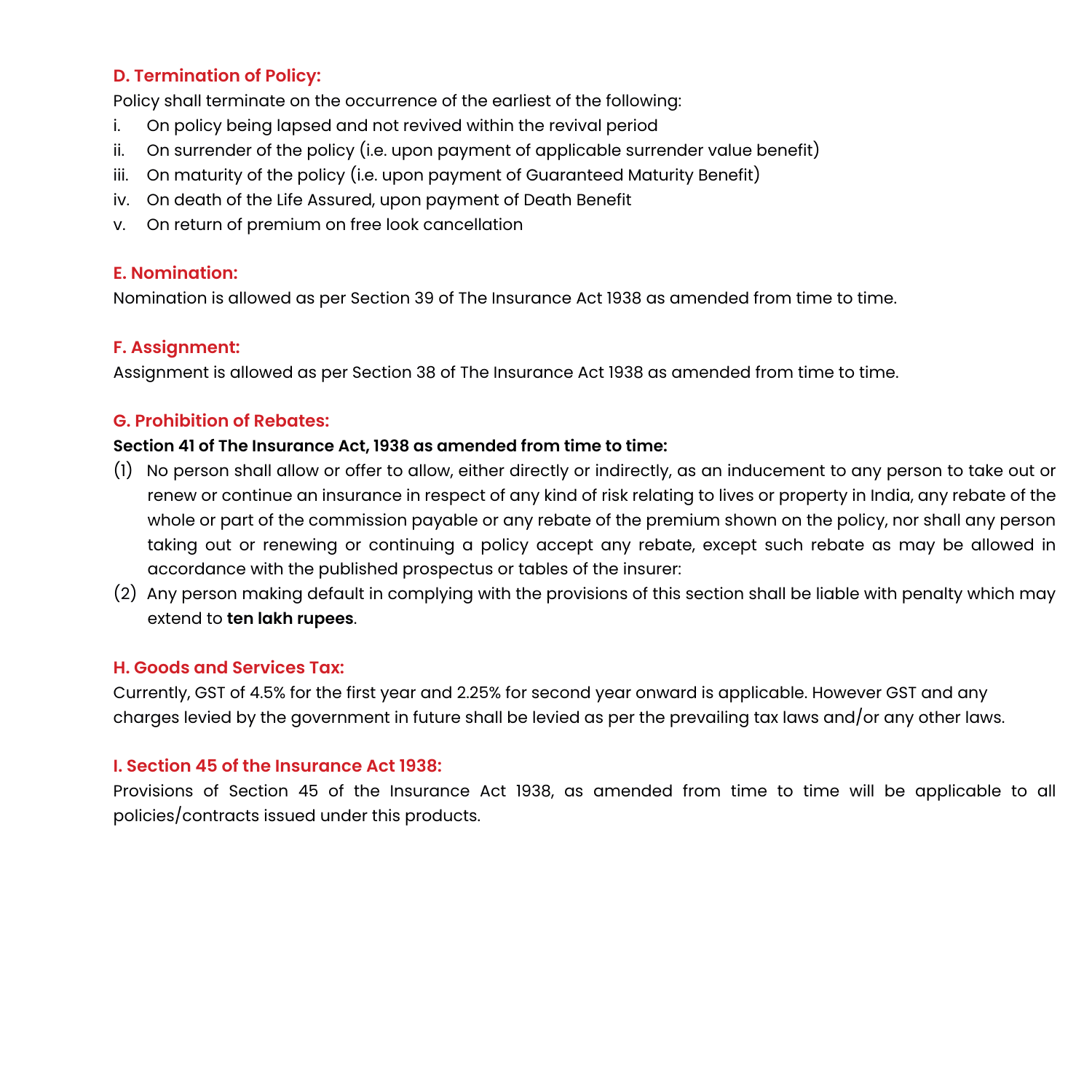#### **D. Termination of Policy:**

Policy shall terminate on the occurrence of the earliest of the following:

- i. On policy being lapsed and not revived within the revival period
- ii. On surrender of the policy (i.e. upon payment of applicable surrender value benefit)
- iii. On maturity of the policy (i.e. upon payment of Guaranteed Maturity Benefit)
- iv. On death of the Life Assured, upon payment of Death Benefit
- v. On return of premium on free look cancellation

#### **E. Nomination:**

Nomination is allowed as per Section 39 of The Insurance Act 1938 as amended from time to time.

#### **F. Assignment:**

Assignment is allowed as per Section 38 of The Insurance Act 1938 as amended from time to time.

#### **G. Prohibition of Rebates:**

#### **Section 41 of The Insurance Act, 1938 as amended from time to time:**

- (1) No person shall allow or offer to allow, either directly or indirectly, as an inducement to any person to take out or renew or continue an insurance in respect of any kind of risk relating to lives or property in India, any rebate of the whole or part of the commission payable or any rebate of the premium shown on the policy, nor shall any person taking out or renewing or continuing a policy accept any rebate, except such rebate as may be allowed in accordance with the published prospectus or tables of the insurer:
- (2) Any person making default in complying with the provisions of this section shall be liable with penalty which may extend to **ten lakh rupees**.

#### **H. Goods and Services Tax:**

Currently, GST of 4.5% for the first year and 2.25% for second year onward is applicable. However GST and any charges levied by the government in future shall be levied as per the prevailing tax laws and/or any other laws.

#### **I. Section 45 of the Insurance Act 1938:**

Provisions of Section 45 of the Insurance Act 1938, as amended from time to time will be applicable to all policies/contracts issued under this products.